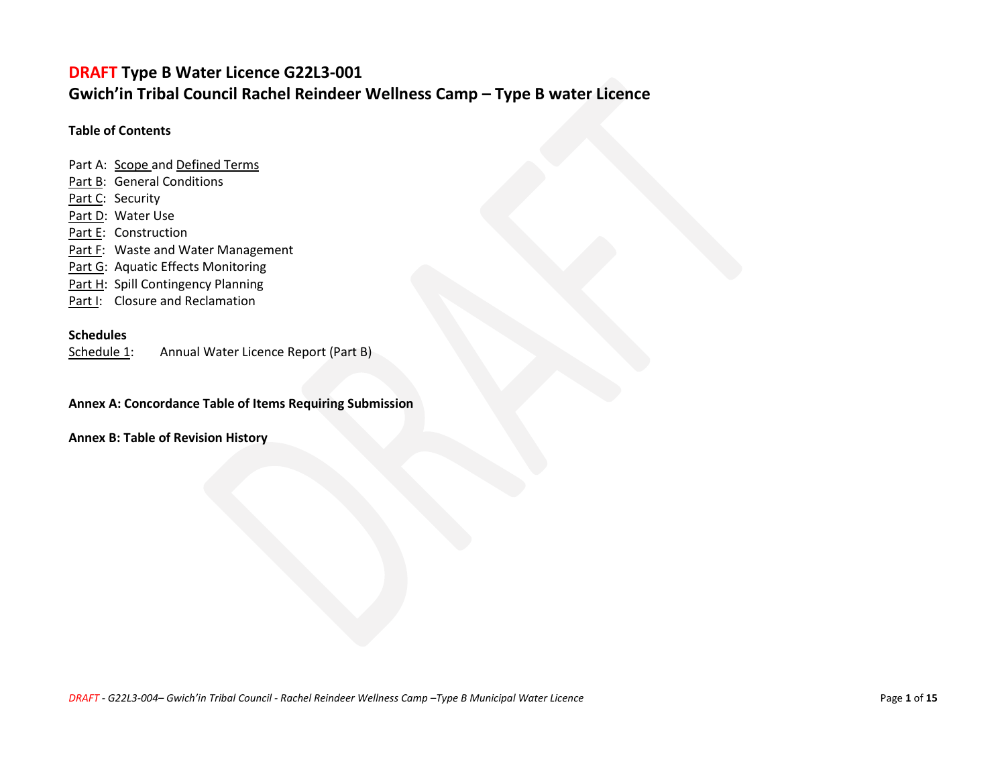## **DRAFT Type B Water Licence G22L3-001 Gwich'in Tribal Council Rachel Reindeer Wellness Camp – Type B water Licence**

#### **Table of Contents**

Part A: [Scope a](#page-1-0)n[d Defined Terms](#page-1-0) [Part B:](#page-5-0) General Conditions [Part C:](#page-7-0) Security [Part D:](#page-7-1) Water Use [Part E:](#page-8-0) Construction [Part F:](#page-8-1) Waste and Water Management [Part G:](#page-8-1) Aquatic Effects Monitoring [Part H:](#page-9-0) Spill Contingency Planning Part I: Closure and Reclamation

#### **Schedules**

[Schedule 1:](#page-11-0) Annual Water Licence Report (Part B)

**Annex A: Concordance Table of Items Requiring Submission** 

**Annex B: Table of Revision History**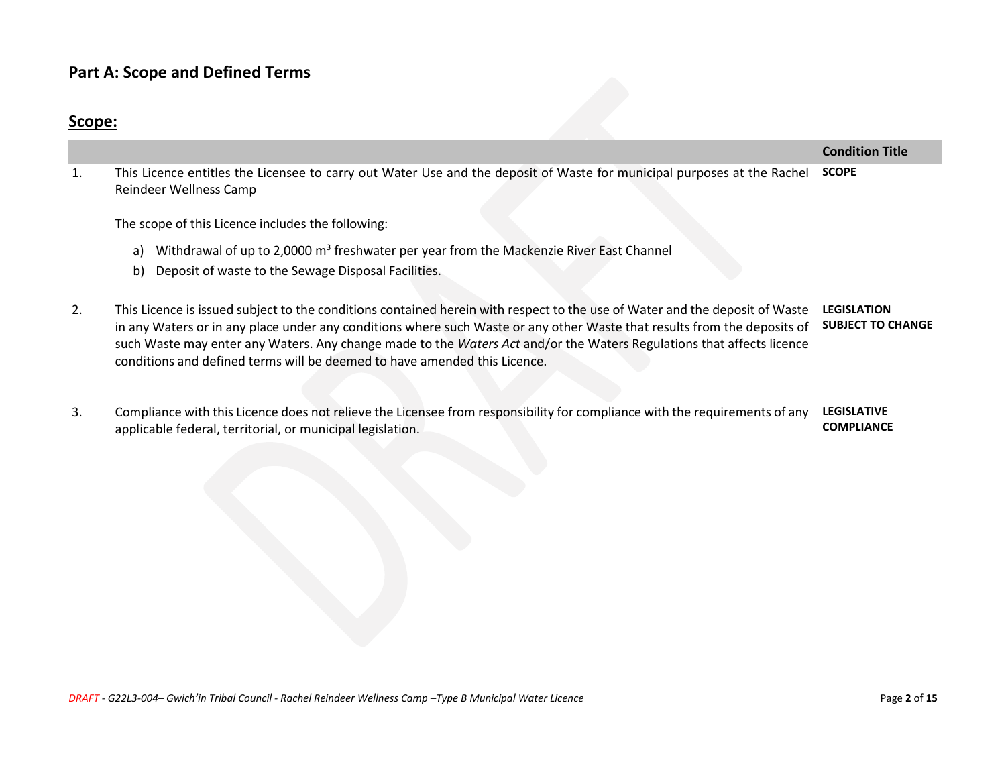## **Part A: Scope and Defined Terms**

## **Scope:**

<span id="page-1-0"></span>1. This Licence entitles the Licensee to carry out Water Use and the deposit of Waste for municipal purposes at the Rachel Reindeer Wellness Camp **SCOPE**

The scope of this Licence includes the following:

- a) Withdrawal of up to 2,0000 m<sup>3</sup> freshwater per year from the Mackenzie River East Channel
- b) Deposit of waste to the Sewage Disposal Facilities.
- 2. This Licence is issued subject to the conditions contained herein with respect to the use of Water and the deposit of Waste **LEGISLATION**  in any Waters or in any place under any conditions where such Waste or any other Waste that results from the deposits of such Waste may enter any Waters. Any change made to the *Waters Act* and/or the Waters Regulations that affects licence conditions and defined terms will be deemed to have amended this Licence. **SUBJECT TO CHANGE**
- 3. Compliance with this Licence does not relieve the Licensee from responsibility for compliance with the requirements of any applicable federal, territorial, or municipal legislation. **LEGISLATIVE COMPLIANCE**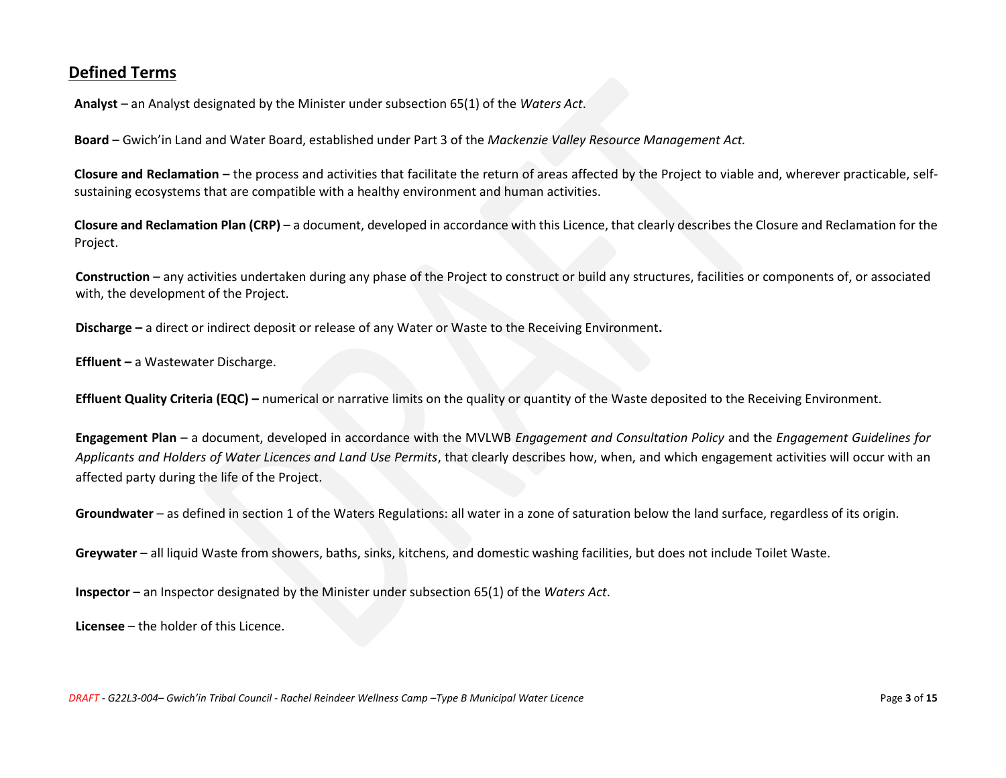### **Defined Terms**

**Analyst** – an Analyst designated by the Minister under subsection 65(1) of the *Waters Act*.

**Board** – Gwich'in Land and Water Board, established under Part 3 of the *Mackenzie Valley Resource Management Act.*

**Closure and Reclamation –** the process and activities that facilitate the return of areas affected by the Project to viable and, wherever practicable, selfsustaining ecosystems that are compatible with a healthy environment and human activities.

**Closure and Reclamation Plan (CRP)** – a document, developed in accordance with this Licence, that clearly describes the Closure and Reclamation for the Project.

**Construction** – any activities undertaken during any phase of the Project to construct or build any structures, facilities or components of, or associated with, the development of the Project.

**Discharge –** a direct or indirect deposit or release of any Water or Waste to the Receiving Environment**.**

**Effluent –** a Wastewater Discharge.

**Effluent Quality Criteria (EQC) –** numerical or narrative limits on the quality or quantity of the Waste deposited to the Receiving Environment.

**Engagement Plan** – a document, developed in accordance with the MVLWB *Engagement and Consultation Policy* and the *Engagement Guidelines for Applicants and Holders of Water Licences and Land Use Permits*, that clearly describes how, when, and which engagement activities will occur with an affected party during the life of the Project.

**Groundwater** – as defined in section 1 of the Waters Regulations: all water in a zone of saturation below the land surface, regardless of its origin.

**Greywater** – all liquid Waste from showers, baths, sinks, kitchens, and domestic washing facilities, but does not include Toilet Waste.

**Inspector** – an Inspector designated by the Minister under subsection 65(1) of the *Waters Act*.

**Licensee** – the holder of this Licence.

*DRAFT - G22L3-004– Gwich'in Tribal Council - Rachel Reindeer Wellness Camp –Type B Municipal Water Licence* Page **3** of **15**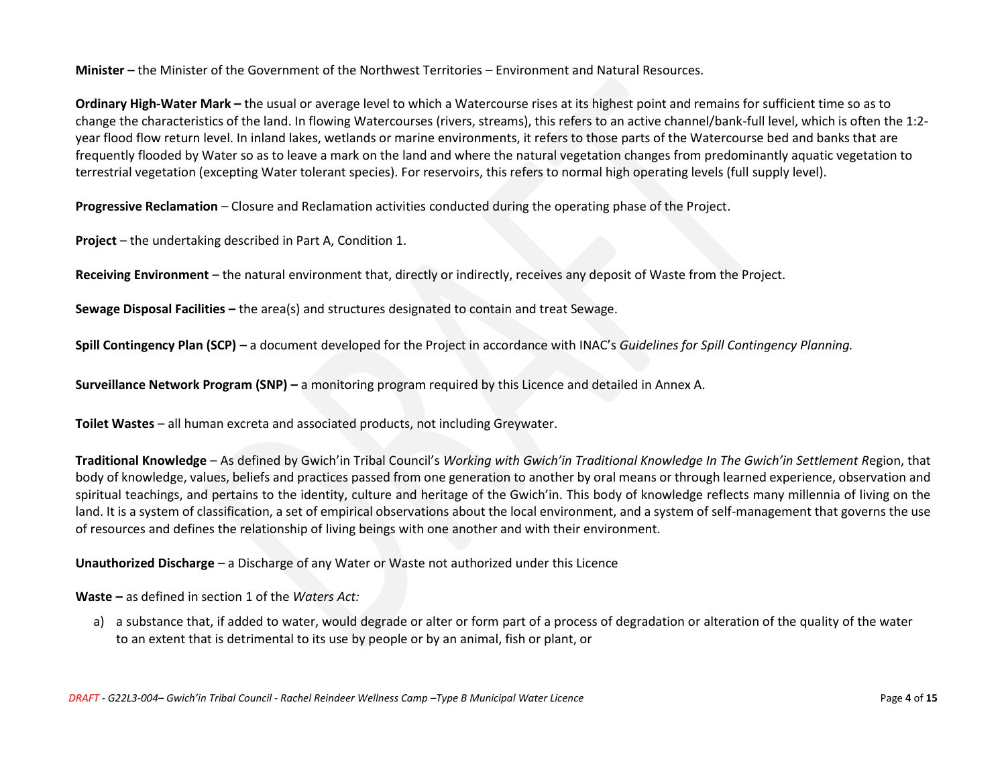**Minister –** the Minister of the Government of the Northwest Territories – Environment and Natural Resources.

**Ordinary High-Water Mark –** the usual or average level to which a Watercourse rises at its highest point and remains for sufficient time so as to change the characteristics of the land. In flowing Watercourses (rivers, streams), this refers to an active channel/bank-full level, which is often the 1:2 year flood flow return level. In inland lakes, wetlands or marine environments, it refers to those parts of the Watercourse bed and banks that are frequently flooded by Water so as to leave a mark on the land and where the natural vegetation changes from predominantly aquatic vegetation to terrestrial vegetation (excepting Water tolerant species). For reservoirs, this refers to normal high operating levels (full supply level).

**Progressive Reclamation** – Closure and Reclamation activities conducted during the operating phase of the Project.

**Project** – the undertaking described in Part A, Condition 1.

**Receiving Environment** – the natural environment that, directly or indirectly, receives any deposit of Waste from the Project.

**Sewage Disposal Facilities –** the area(s) and structures designated to contain and treat Sewage.

**Spill Contingency Plan (SCP) –** a document developed for the Project in accordance with INAC's *Guidelines for Spill Contingency Planning.* 

**Surveillance Network Program (SNP) –** a monitoring program required by this Licence and detailed in Annex A.

**Toilet Wastes** – all human excreta and associated products, not including Greywater.

**Traditional Knowledge** – As defined by Gwich'in Tribal Council's *Working with Gwich'in Traditional Knowledge In The Gwich'in Settlement R*egion, that body of knowledge, values, beliefs and practices passed from one generation to another by oral means or through learned experience, observation and spiritual teachings, and pertains to the identity, culture and heritage of the Gwich'in. This body of knowledge reflects many millennia of living on the land. It is a system of classification, a set of empirical observations about the local environment, and a system of self-management that governs the use of resources and defines the relationship of living beings with one another and with their environment.

**Unauthorized Discharge** – a Discharge of any Water or Waste not authorized under this Licence

**Waste –** as defined in section 1 of the *Waters Act:*

a) a substance that, if added to water, would degrade or alter or form part of a process of degradation or alteration of the quality of the water to an extent that is detrimental to its use by people or by an animal, fish or plant, or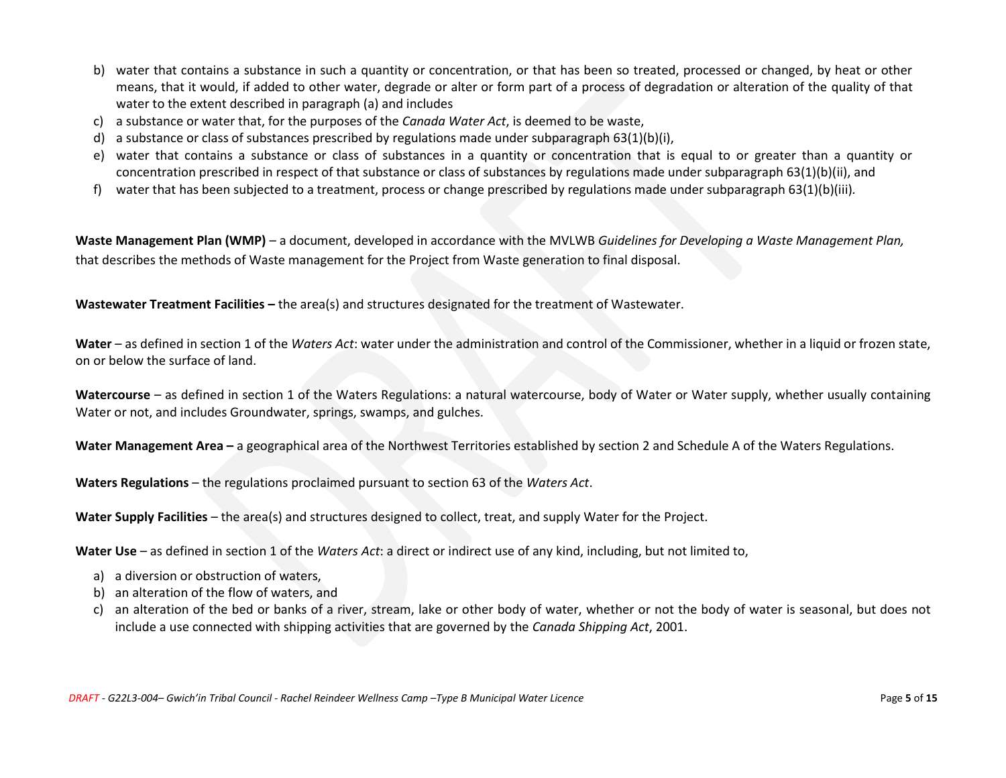- b) water that contains a substance in such a quantity or concentration, or that has been so treated, processed or changed, by heat or other means, that it would, if added to other water, degrade or alter or form part of a process of degradation or alteration of the quality of that water to the extent described in paragraph (a) and includes
- c) a substance or water that, for the purposes of the *Canada Water Act*, is deemed to be waste,
- d) a substance or class of substances prescribed by regulations made under subparagraph 63(1)(b)(i),
- e) water that contains a substance or class of substances in a quantity or concentration that is equal to or greater than a quantity or concentration prescribed in respect of that substance or class of substances by regulations made under subparagraph 63(1)(b)(ii), and
- f) water that has been subjected to a treatment, process or change prescribed by regulations made under subparagraph 63(1)(b)(iii)*.*

**Waste Management Plan (WMP)** – a document, developed in accordance with the MVLWB *Guidelines for Developing a Waste Management Plan,* that describes the methods of Waste management for the Project from Waste generation to final disposal.

**Wastewater Treatment Facilities –** the area(s) and structures designated for the treatment of Wastewater.

**Water** – as defined in section 1 of the *Waters Act*: water under the administration and control of the Commissioner, whether in a liquid or frozen state, on or below the surface of land.

**Watercourse** – as defined in section 1 of the Waters Regulations: a natural watercourse, body of Water or Water supply, whether usually containing Water or not, and includes Groundwater, springs, swamps, and gulches.

**Water Management Area –** a geographical area of the Northwest Territories established by section 2 and Schedule A of the Waters Regulations.

**Waters Regulations** – the regulations proclaimed pursuant to section 63 of the *Waters Act*.

**Water Supply Facilities** – the area(s) and structures designed to collect, treat, and supply Water for the Project.

**Water Use** – as defined in section 1 of the *Waters Act*: a direct or indirect use of any kind, including, but not limited to,

- a) a diversion or obstruction of waters,
- b) an alteration of the flow of waters, and
- c) an alteration of the bed or banks of a river, stream, lake or other body of water, whether or not the body of water is seasonal, but does not include a use connected with shipping activities that are governed by the *Canada Shipping Act*, 2001.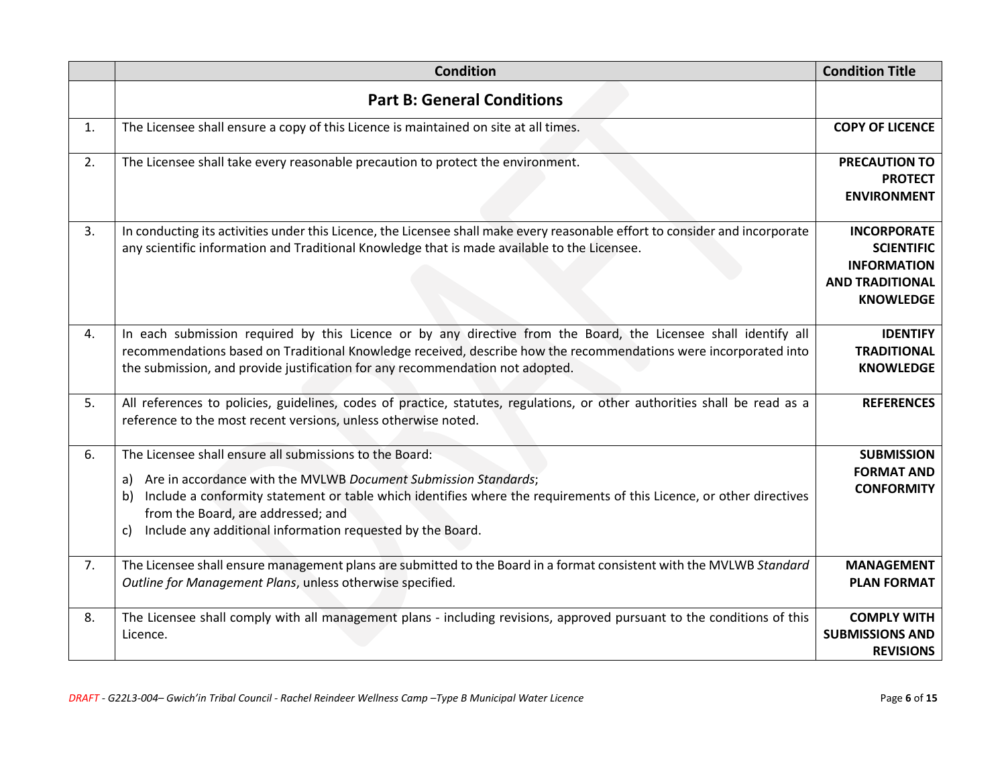<span id="page-5-0"></span>

|    | <b>Condition</b>                                                                                                                                                                                                                                                                                                                                                                   | <b>Condition Title</b>                                                                                      |
|----|------------------------------------------------------------------------------------------------------------------------------------------------------------------------------------------------------------------------------------------------------------------------------------------------------------------------------------------------------------------------------------|-------------------------------------------------------------------------------------------------------------|
|    | <b>Part B: General Conditions</b>                                                                                                                                                                                                                                                                                                                                                  |                                                                                                             |
| 1. | The Licensee shall ensure a copy of this Licence is maintained on site at all times.                                                                                                                                                                                                                                                                                               | <b>COPY OF LICENCE</b>                                                                                      |
| 2. | The Licensee shall take every reasonable precaution to protect the environment.                                                                                                                                                                                                                                                                                                    | <b>PRECAUTION TO</b><br><b>PROTECT</b><br><b>ENVIRONMENT</b>                                                |
| 3. | In conducting its activities under this Licence, the Licensee shall make every reasonable effort to consider and incorporate<br>any scientific information and Traditional Knowledge that is made available to the Licensee.                                                                                                                                                       | <b>INCORPORATE</b><br><b>SCIENTIFIC</b><br><b>INFORMATION</b><br><b>AND TRADITIONAL</b><br><b>KNOWLEDGE</b> |
| 4. | In each submission required by this Licence or by any directive from the Board, the Licensee shall identify all<br>recommendations based on Traditional Knowledge received, describe how the recommendations were incorporated into<br>the submission, and provide justification for any recommendation not adopted.                                                               | <b>IDENTIFY</b><br><b>TRADITIONAL</b><br><b>KNOWLEDGE</b>                                                   |
| 5. | All references to policies, guidelines, codes of practice, statutes, regulations, or other authorities shall be read as a<br>reference to the most recent versions, unless otherwise noted.                                                                                                                                                                                        | <b>REFERENCES</b>                                                                                           |
| 6. | The Licensee shall ensure all submissions to the Board:<br>Are in accordance with the MVLWB Document Submission Standards;<br>a)<br>Include a conformity statement or table which identifies where the requirements of this Licence, or other directives<br>b)<br>from the Board, are addressed; and<br>Include any additional information requested by the Board.<br>$\mathsf{c}$ | <b>SUBMISSION</b><br><b>FORMAT AND</b><br><b>CONFORMITY</b>                                                 |
| 7. | The Licensee shall ensure management plans are submitted to the Board in a format consistent with the MVLWB Standard<br>Outline for Management Plans, unless otherwise specified.                                                                                                                                                                                                  | <b>MANAGEMENT</b><br><b>PLAN FORMAT</b>                                                                     |
| 8. | The Licensee shall comply with all management plans - including revisions, approved pursuant to the conditions of this<br>Licence.                                                                                                                                                                                                                                                 | <b>COMPLY WITH</b><br><b>SUBMISSIONS AND</b><br><b>REVISIONS</b>                                            |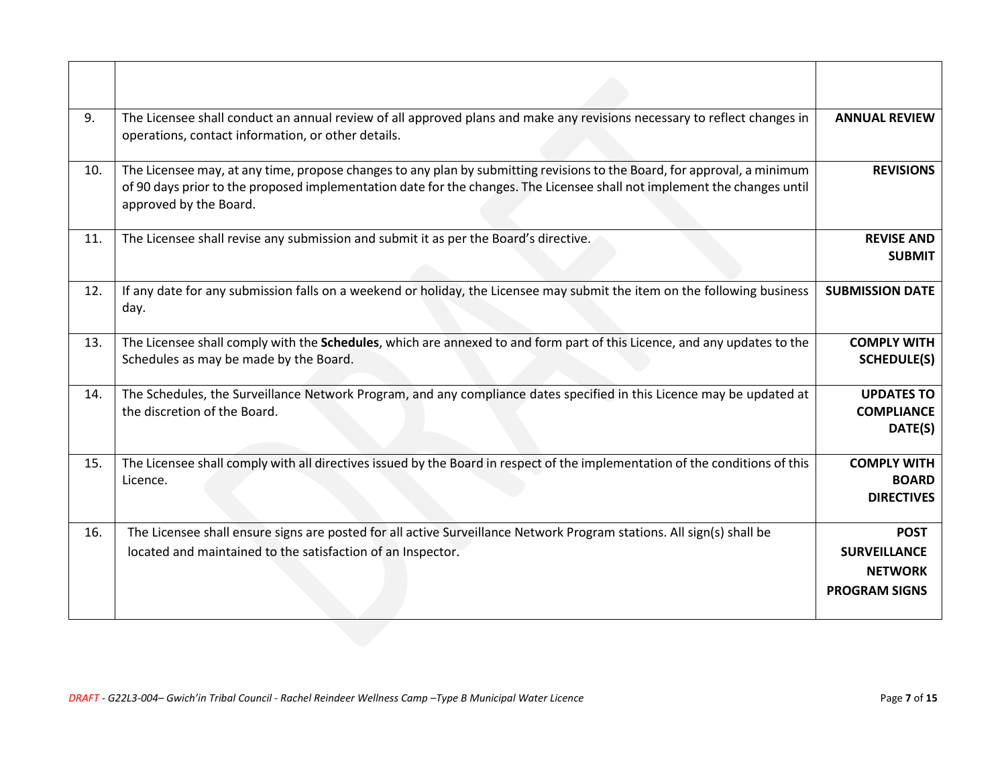| 9.  | The Licensee shall conduct an annual review of all approved plans and make any revisions necessary to reflect changes in<br>operations, contact information, or other details.                                                                                                 | <b>ANNUAL REVIEW</b>                                                         |
|-----|--------------------------------------------------------------------------------------------------------------------------------------------------------------------------------------------------------------------------------------------------------------------------------|------------------------------------------------------------------------------|
| 10. | The Licensee may, at any time, propose changes to any plan by submitting revisions to the Board, for approval, a minimum<br>of 90 days prior to the proposed implementation date for the changes. The Licensee shall not implement the changes until<br>approved by the Board. | <b>REVISIONS</b>                                                             |
| 11. | The Licensee shall revise any submission and submit it as per the Board's directive.                                                                                                                                                                                           | <b>REVISE AND</b><br><b>SUBMIT</b>                                           |
| 12. | If any date for any submission falls on a weekend or holiday, the Licensee may submit the item on the following business<br>day.                                                                                                                                               | <b>SUBMISSION DATE</b>                                                       |
| 13. | The Licensee shall comply with the Schedules, which are annexed to and form part of this Licence, and any updates to the<br>Schedules as may be made by the Board.                                                                                                             | <b>COMPLY WITH</b><br><b>SCHEDULE(S)</b>                                     |
| 14. | The Schedules, the Surveillance Network Program, and any compliance dates specified in this Licence may be updated at<br>the discretion of the Board.                                                                                                                          | <b>UPDATES TO</b><br><b>COMPLIANCE</b><br>DATE(S)                            |
| 15. | The Licensee shall comply with all directives issued by the Board in respect of the implementation of the conditions of this<br>Licence.                                                                                                                                       | <b>COMPLY WITH</b><br><b>BOARD</b><br><b>DIRECTIVES</b>                      |
| 16. | The Licensee shall ensure signs are posted for all active Surveillance Network Program stations. All sign(s) shall be<br>located and maintained to the satisfaction of an Inspector.                                                                                           | <b>POST</b><br><b>SURVEILLANCE</b><br><b>NETWORK</b><br><b>PROGRAM SIGNS</b> |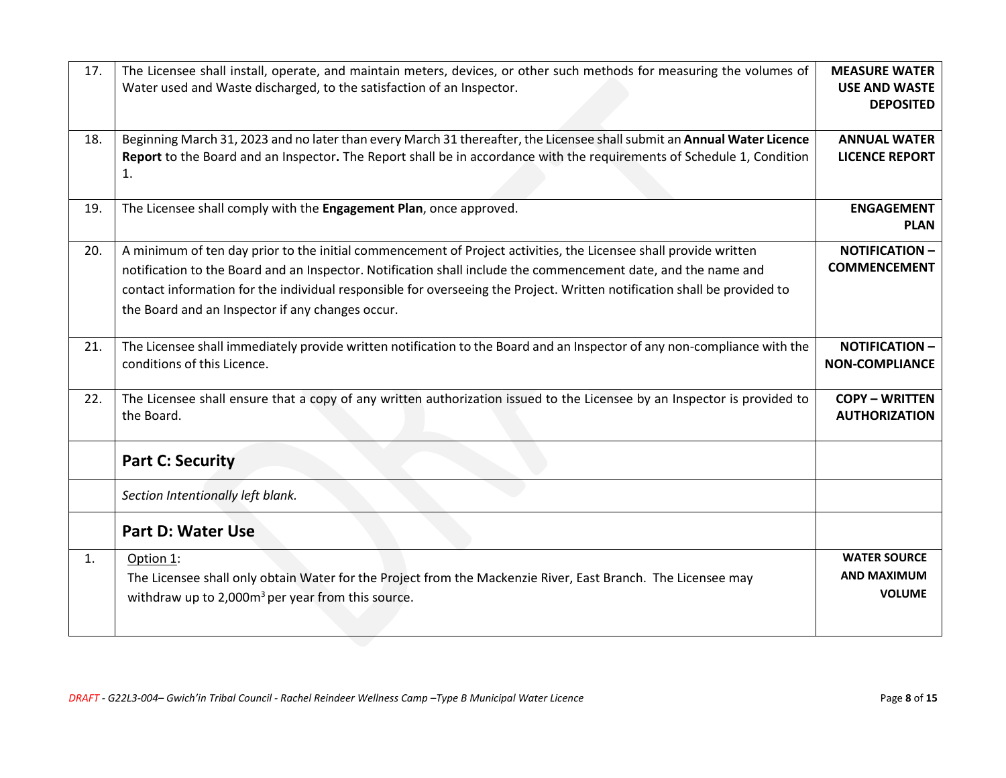<span id="page-7-1"></span><span id="page-7-0"></span>

| 17. | The Licensee shall install, operate, and maintain meters, devices, or other such methods for measuring the volumes of<br>Water used and Waste discharged, to the satisfaction of an Inspector.                                                                                                                                                                                                                     | <b>MEASURE WATER</b><br><b>USE AND WASTE</b><br><b>DEPOSITED</b> |
|-----|--------------------------------------------------------------------------------------------------------------------------------------------------------------------------------------------------------------------------------------------------------------------------------------------------------------------------------------------------------------------------------------------------------------------|------------------------------------------------------------------|
| 18. | Beginning March 31, 2023 and no later than every March 31 thereafter, the Licensee shall submit an Annual Water Licence<br>Report to the Board and an Inspector. The Report shall be in accordance with the requirements of Schedule 1, Condition<br>1.                                                                                                                                                            | <b>ANNUAL WATER</b><br><b>LICENCE REPORT</b>                     |
| 19. | The Licensee shall comply with the Engagement Plan, once approved.                                                                                                                                                                                                                                                                                                                                                 | <b>ENGAGEMENT</b><br><b>PLAN</b>                                 |
| 20. | A minimum of ten day prior to the initial commencement of Project activities, the Licensee shall provide written<br>notification to the Board and an Inspector. Notification shall include the commencement date, and the name and<br>contact information for the individual responsible for overseeing the Project. Written notification shall be provided to<br>the Board and an Inspector if any changes occur. | <b>NOTIFICATION -</b><br><b>COMMENCEMENT</b>                     |
| 21. | The Licensee shall immediately provide written notification to the Board and an Inspector of any non-compliance with the<br>conditions of this Licence.                                                                                                                                                                                                                                                            | <b>NOTIFICATION -</b><br><b>NON-COMPLIANCE</b>                   |
| 22. | The Licensee shall ensure that a copy of any written authorization issued to the Licensee by an Inspector is provided to<br>the Board.                                                                                                                                                                                                                                                                             | <b>COPY - WRITTEN</b><br><b>AUTHORIZATION</b>                    |
|     | <b>Part C: Security</b>                                                                                                                                                                                                                                                                                                                                                                                            |                                                                  |
|     | Section Intentionally left blank.                                                                                                                                                                                                                                                                                                                                                                                  |                                                                  |
|     | <b>Part D: Water Use</b>                                                                                                                                                                                                                                                                                                                                                                                           |                                                                  |
| 1.  | Option 1:<br>The Licensee shall only obtain Water for the Project from the Mackenzie River, East Branch. The Licensee may<br>withdraw up to 2,000m <sup>3</sup> per year from this source.                                                                                                                                                                                                                         | <b>WATER SOURCE</b><br>AND MAXIMUM<br><b>VOLUME</b>              |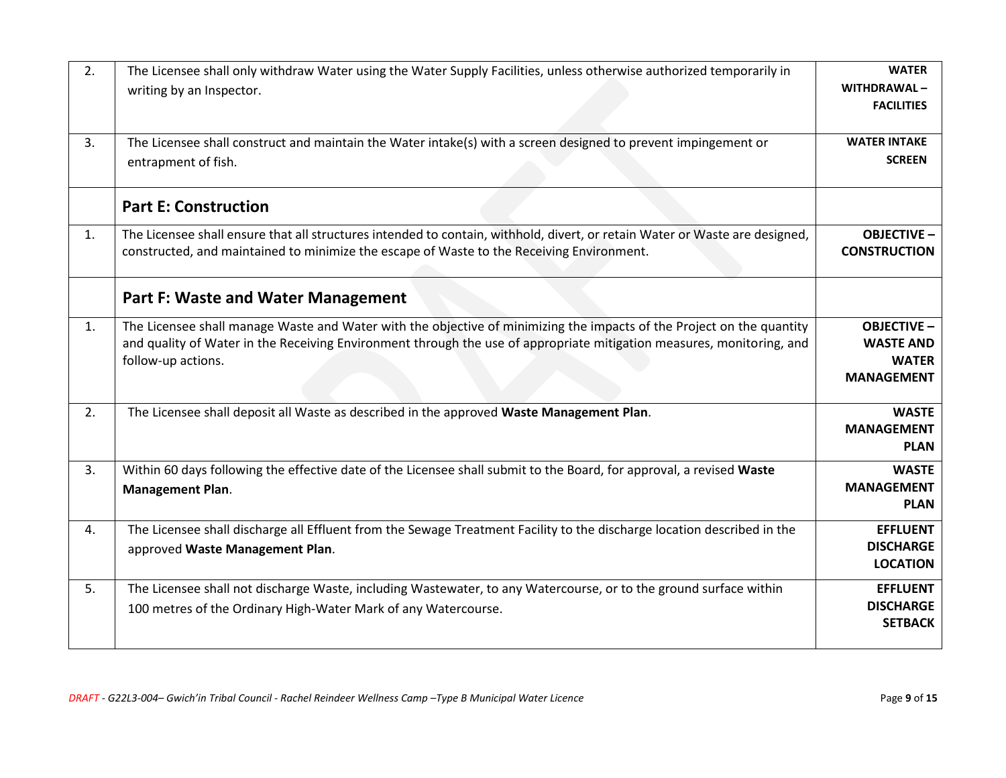<span id="page-8-1"></span><span id="page-8-0"></span>

| 2. | The Licensee shall only withdraw Water using the Water Supply Facilities, unless otherwise authorized temporarily in<br>writing by an Inspector.                                                                                                                     | <b>WATER</b><br>WITHDRAWAL-<br><b>FACILITIES</b>                            |
|----|----------------------------------------------------------------------------------------------------------------------------------------------------------------------------------------------------------------------------------------------------------------------|-----------------------------------------------------------------------------|
| 3. | The Licensee shall construct and maintain the Water intake(s) with a screen designed to prevent impingement or<br>entrapment of fish.                                                                                                                                | <b>WATER INTAKE</b><br><b>SCREEN</b>                                        |
|    | <b>Part E: Construction</b>                                                                                                                                                                                                                                          |                                                                             |
| 1. | The Licensee shall ensure that all structures intended to contain, withhold, divert, or retain Water or Waste are designed,<br>constructed, and maintained to minimize the escape of Waste to the Receiving Environment.                                             | <b>OBJECTIVE -</b><br><b>CONSTRUCTION</b>                                   |
|    | <b>Part F: Waste and Water Management</b>                                                                                                                                                                                                                            |                                                                             |
| 1. | The Licensee shall manage Waste and Water with the objective of minimizing the impacts of the Project on the quantity<br>and quality of Water in the Receiving Environment through the use of appropriate mitigation measures, monitoring, and<br>follow-up actions. | <b>OBJECTIVE -</b><br><b>WASTE AND</b><br><b>WATER</b><br><b>MANAGEMENT</b> |
| 2. | The Licensee shall deposit all Waste as described in the approved Waste Management Plan.                                                                                                                                                                             | <b>WASTE</b><br><b>MANAGEMENT</b><br><b>PLAN</b>                            |
| 3. | Within 60 days following the effective date of the Licensee shall submit to the Board, for approval, a revised Waste<br><b>Management Plan.</b>                                                                                                                      | <b>WASTE</b><br><b>MANAGEMENT</b><br><b>PLAN</b>                            |
| 4. | The Licensee shall discharge all Effluent from the Sewage Treatment Facility to the discharge location described in the<br>approved Waste Management Plan.                                                                                                           | <b>EFFLUENT</b><br><b>DISCHARGE</b><br><b>LOCATION</b>                      |
| 5. | The Licensee shall not discharge Waste, including Wastewater, to any Watercourse, or to the ground surface within<br>100 metres of the Ordinary High-Water Mark of any Watercourse.                                                                                  | <b>EFFLUENT</b><br><b>DISCHARGE</b><br><b>SETBACK</b>                       |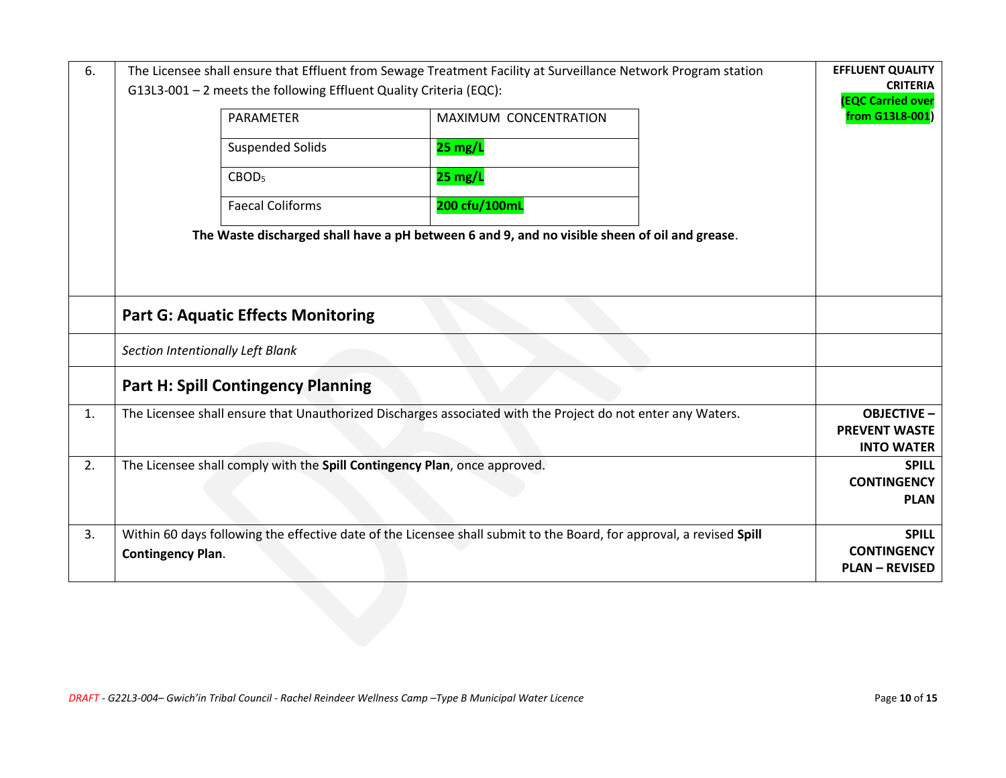<span id="page-9-0"></span>

| 6. | The Licensee shall ensure that Effluent from Sewage Treatment Facility at Surveillance Network Program station                    |                         |                                                                                               | <b>EFFLUENT QUALITY</b> |                                            |
|----|-----------------------------------------------------------------------------------------------------------------------------------|-------------------------|-----------------------------------------------------------------------------------------------|-------------------------|--------------------------------------------|
|    | G13L3-001 - 2 meets the following Effluent Quality Criteria (EQC):                                                                |                         |                                                                                               | <b>CRITERIA</b>         |                                            |
|    |                                                                                                                                   | PARAMETER               | MAXIMUM CONCENTRATION                                                                         |                         | <b>EQC Carried over</b><br>from G13L8-001) |
|    |                                                                                                                                   | <b>Suspended Solids</b> | $25 \text{ mg/L}$                                                                             |                         |                                            |
|    |                                                                                                                                   | CBOD <sub>5</sub>       | $25$ mg/L                                                                                     |                         |                                            |
|    |                                                                                                                                   | <b>Faecal Coliforms</b> | 200 cfu/100mL                                                                                 |                         |                                            |
|    |                                                                                                                                   |                         | The Waste discharged shall have a pH between 6 and 9, and no visible sheen of oil and grease. |                         |                                            |
|    |                                                                                                                                   |                         |                                                                                               |                         |                                            |
|    | <b>Part G: Aquatic Effects Monitoring</b>                                                                                         |                         |                                                                                               |                         |                                            |
|    | Section Intentionally Left Blank                                                                                                  |                         |                                                                                               |                         |                                            |
|    | <b>Part H: Spill Contingency Planning</b>                                                                                         |                         |                                                                                               |                         |                                            |
| 1. | The Licensee shall ensure that Unauthorized Discharges associated with the Project do not enter any Waters.<br><b>OBJECTIVE -</b> |                         |                                                                                               |                         |                                            |
|    | <b>PREVENT WASTE</b><br><b>INTO WATER</b>                                                                                         |                         |                                                                                               |                         |                                            |
| 2. | The Licensee shall comply with the Spill Contingency Plan, once approved.                                                         |                         |                                                                                               | <b>SPILL</b>            |                                            |
|    |                                                                                                                                   |                         |                                                                                               | <b>CONTINGENCY</b>      |                                            |
|    | <b>PLAN</b>                                                                                                                       |                         |                                                                                               |                         |                                            |
| 3. | Within 60 days following the effective date of the Licensee shall submit to the Board, for approval, a revised Spill              |                         |                                                                                               | <b>SPILL</b>            |                                            |
|    | <b>Contingency Plan.</b>                                                                                                          |                         |                                                                                               | <b>CONTINGENCY</b>      |                                            |
|    |                                                                                                                                   |                         |                                                                                               |                         | <b>PLAN - REVISED</b>                      |
|    |                                                                                                                                   |                         |                                                                                               |                         |                                            |
|    |                                                                                                                                   |                         |                                                                                               |                         |                                            |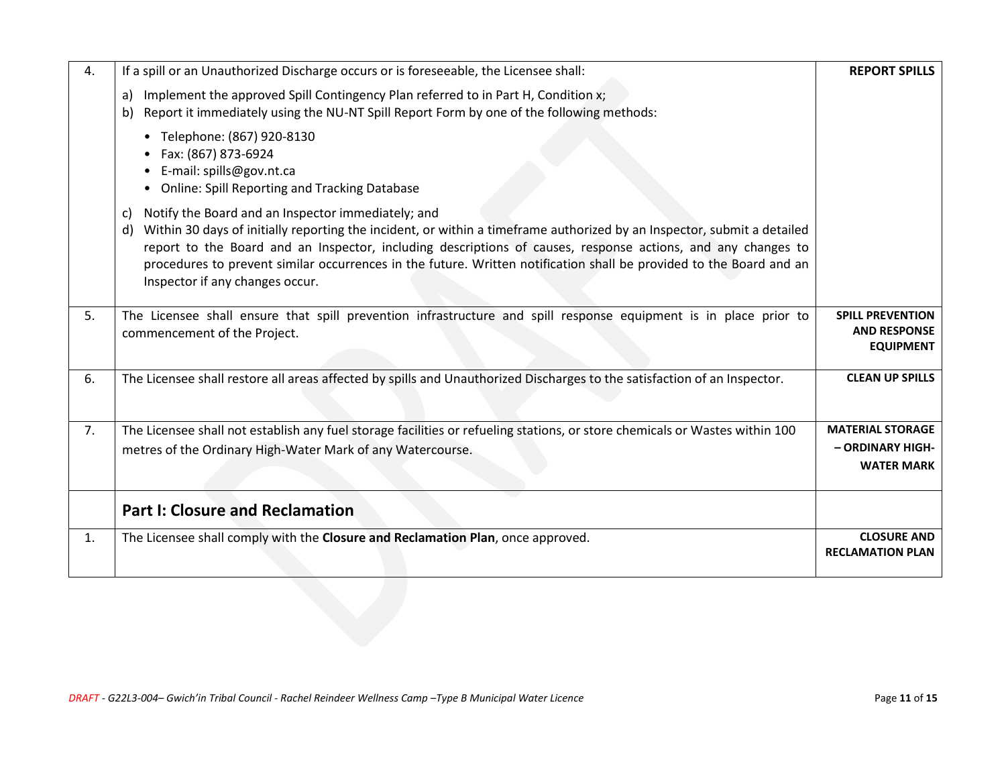| 4. | If a spill or an Unauthorized Discharge occurs or is foreseeable, the Licensee shall:                                                                                                                                                                                                                                                                                                                                                                               | <b>REPORT SPILLS</b>                                               |
|----|---------------------------------------------------------------------------------------------------------------------------------------------------------------------------------------------------------------------------------------------------------------------------------------------------------------------------------------------------------------------------------------------------------------------------------------------------------------------|--------------------------------------------------------------------|
|    | Implement the approved Spill Contingency Plan referred to in Part H, Condition x;<br>a)<br>Report it immediately using the NU-NT Spill Report Form by one of the following methods:<br>b)                                                                                                                                                                                                                                                                           |                                                                    |
|    | • Telephone: (867) 920-8130<br>Fax: (867) 873-6924<br>E-mail: spills@gov.nt.ca<br>• Online: Spill Reporting and Tracking Database                                                                                                                                                                                                                                                                                                                                   |                                                                    |
|    | Notify the Board and an Inspector immediately; and<br>C)<br>Within 30 days of initially reporting the incident, or within a timeframe authorized by an Inspector, submit a detailed<br>d)<br>report to the Board and an Inspector, including descriptions of causes, response actions, and any changes to<br>procedures to prevent similar occurrences in the future. Written notification shall be provided to the Board and an<br>Inspector if any changes occur. |                                                                    |
| 5. | The Licensee shall ensure that spill prevention infrastructure and spill response equipment is in place prior to<br>commencement of the Project.                                                                                                                                                                                                                                                                                                                    | <b>SPILL PREVENTION</b><br><b>AND RESPONSE</b><br><b>EQUIPMENT</b> |
| 6. | The Licensee shall restore all areas affected by spills and Unauthorized Discharges to the satisfaction of an Inspector.                                                                                                                                                                                                                                                                                                                                            | <b>CLEAN UP SPILLS</b>                                             |
| 7. | The Licensee shall not establish any fuel storage facilities or refueling stations, or store chemicals or Wastes within 100<br>metres of the Ordinary High-Water Mark of any Watercourse.                                                                                                                                                                                                                                                                           | <b>MATERIAL STORAGE</b><br>- ORDINARY HIGH-<br><b>WATER MARK</b>   |
|    | <b>Part I: Closure and Reclamation</b>                                                                                                                                                                                                                                                                                                                                                                                                                              |                                                                    |
| 1. | The Licensee shall comply with the Closure and Reclamation Plan, once approved.                                                                                                                                                                                                                                                                                                                                                                                     | <b>CLOSURE AND</b><br><b>RECLAMATION PLAN</b>                      |
|    |                                                                                                                                                                                                                                                                                                                                                                                                                                                                     |                                                                    |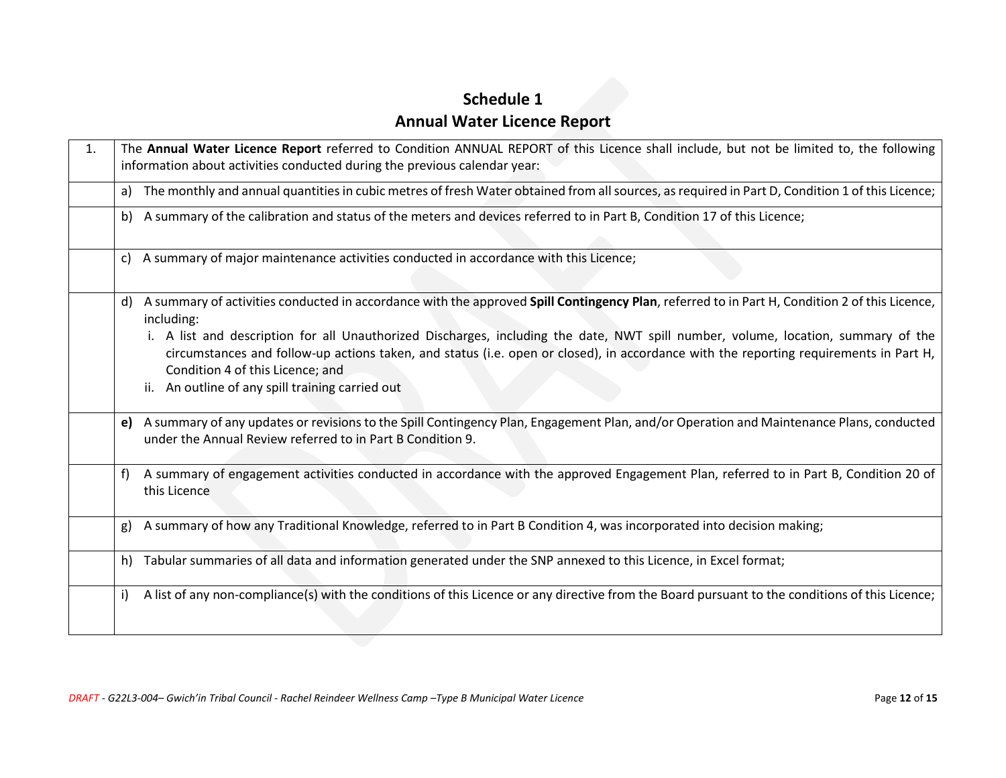# **Schedule 1 Annual Water Licence Report**

<span id="page-11-0"></span>

| 1. | The Annual Water Licence Report referred to Condition ANNUAL REPORT of this Licence shall include, but not be limited to, the following<br>information about activities conducted during the previous calendar year:                                                                                                                                                                                                                                                                                                                    |
|----|-----------------------------------------------------------------------------------------------------------------------------------------------------------------------------------------------------------------------------------------------------------------------------------------------------------------------------------------------------------------------------------------------------------------------------------------------------------------------------------------------------------------------------------------|
|    | The monthly and annual quantities in cubic metres of fresh Water obtained from all sources, as required in Part D, Condition 1 of this Licence;<br>a)                                                                                                                                                                                                                                                                                                                                                                                   |
|    | b) A summary of the calibration and status of the meters and devices referred to in Part B, Condition 17 of this Licence;                                                                                                                                                                                                                                                                                                                                                                                                               |
|    | A summary of major maintenance activities conducted in accordance with this Licence;<br>c)                                                                                                                                                                                                                                                                                                                                                                                                                                              |
|    | A summary of activities conducted in accordance with the approved Spill Contingency Plan, referred to in Part H, Condition 2 of this Licence,<br>d)<br>including:<br>i. A list and description for all Unauthorized Discharges, including the date, NWT spill number, volume, location, summary of the<br>circumstances and follow-up actions taken, and status (i.e. open or closed), in accordance with the reporting requirements in Part H,<br>Condition 4 of this Licence; and<br>ii. An outline of any spill training carried out |
|    | e) A summary of any updates or revisions to the Spill Contingency Plan, Engagement Plan, and/or Operation and Maintenance Plans, conducted<br>under the Annual Review referred to in Part B Condition 9.                                                                                                                                                                                                                                                                                                                                |
|    | A summary of engagement activities conducted in accordance with the approved Engagement Plan, referred to in Part B, Condition 20 of<br>f)<br>this Licence                                                                                                                                                                                                                                                                                                                                                                              |
|    | A summary of how any Traditional Knowledge, referred to in Part B Condition 4, was incorporated into decision making;<br>g)                                                                                                                                                                                                                                                                                                                                                                                                             |
|    | Tabular summaries of all data and information generated under the SNP annexed to this Licence, in Excel format;<br>h)                                                                                                                                                                                                                                                                                                                                                                                                                   |
|    | A list of any non-compliance(s) with the conditions of this Licence or any directive from the Board pursuant to the conditions of this Licence;<br>i)                                                                                                                                                                                                                                                                                                                                                                                   |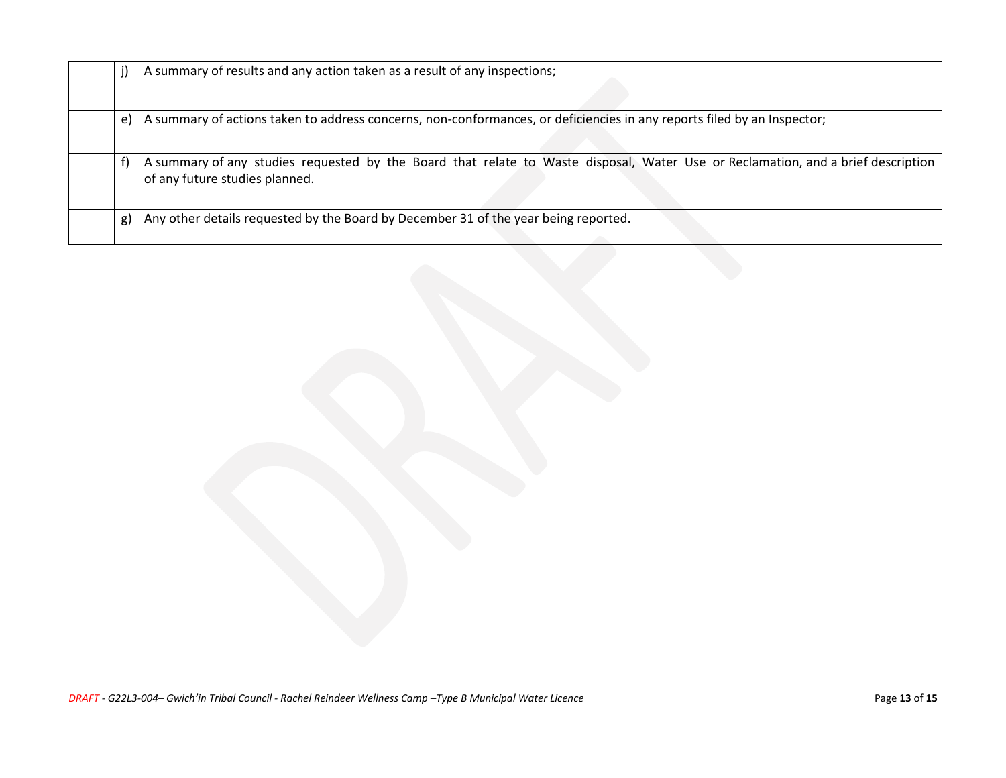|    | A summary of results and any action taken as a result of any inspections;                                                                                          |
|----|--------------------------------------------------------------------------------------------------------------------------------------------------------------------|
| e) | A summary of actions taken to address concerns, non-conformances, or deficiencies in any reports filed by an Inspector;                                            |
|    | A summary of any studies requested by the Board that relate to Waste disposal, Water Use or Reclamation, and a brief description<br>of any future studies planned. |
| g) | Any other details requested by the Board by December 31 of the year being reported.                                                                                |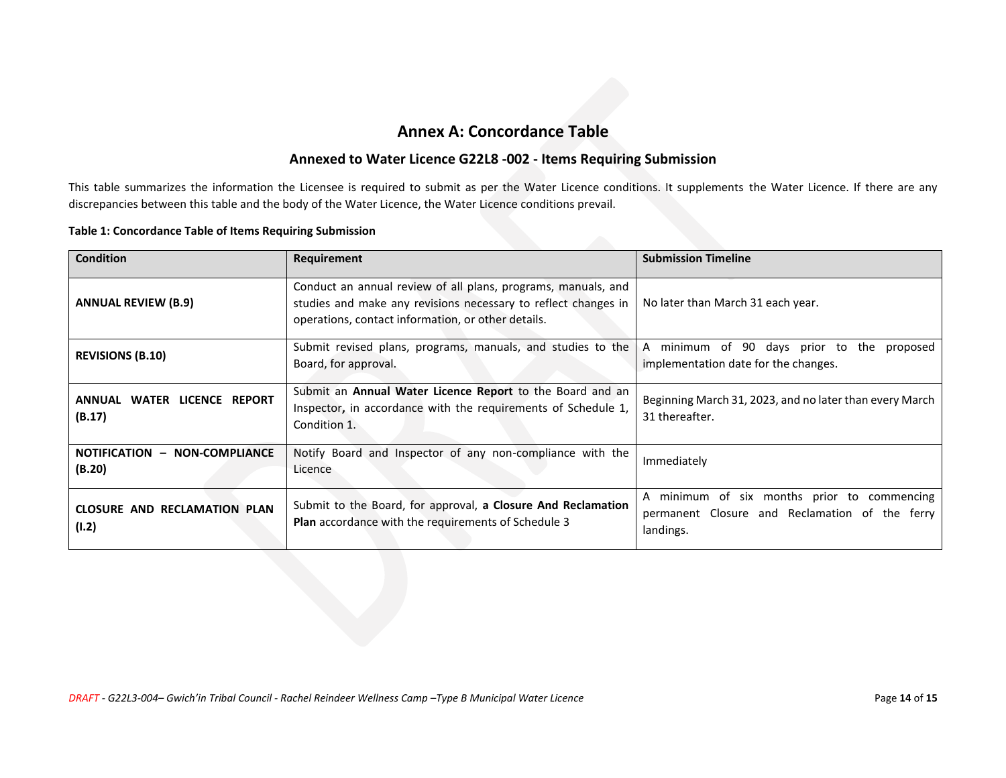## **Annex A: Concordance Table**

### **Annexed to Water Licence G22L8 -002 - Items Requiring Submission**

This table summarizes the information the Licensee is required to submit as per the Water Licence conditions. It supplements the Water Licence. If there are any discrepancies between this table and the body of the Water Licence, the Water Licence conditions prevail.

#### **Table 1: Concordance Table of Items Requiring Submission**

| <b>Condition</b>                                | Requirement                                                                                                                                                                           | <b>Submission Timeline</b>                                                                                    |
|-------------------------------------------------|---------------------------------------------------------------------------------------------------------------------------------------------------------------------------------------|---------------------------------------------------------------------------------------------------------------|
| <b>ANNUAL REVIEW (B.9)</b>                      | Conduct an annual review of all plans, programs, manuals, and<br>studies and make any revisions necessary to reflect changes in<br>operations, contact information, or other details. | No later than March 31 each year.                                                                             |
| <b>REVISIONS (B.10)</b>                         | Submit revised plans, programs, manuals, and studies to the<br>Board, for approval.                                                                                                   | minimum of 90 days prior to the proposed<br>$\mathsf{A}$<br>implementation date for the changes.              |
| WATER LICENCE REPORT<br><b>ANNUAL</b><br>(B.17) | Submit an Annual Water Licence Report to the Board and an<br>Inspector, in accordance with the requirements of Schedule 1,<br>Condition 1.                                            | Beginning March 31, 2023, and no later than every March<br>31 thereafter.                                     |
| NOTIFICATION - NON-COMPLIANCE<br>(B.20)         | Notify Board and Inspector of any non-compliance with the<br>Licence                                                                                                                  | Immediately                                                                                                   |
| <b>CLOSURE AND RECLAMATION PLAN</b><br>(I.2)    | Submit to the Board, for approval, a Closure And Reclamation<br><b>Plan</b> accordance with the requirements of Schedule 3                                                            | minimum of six months prior to commencing<br>A<br>permanent Closure and Reclamation of the ferry<br>landings. |